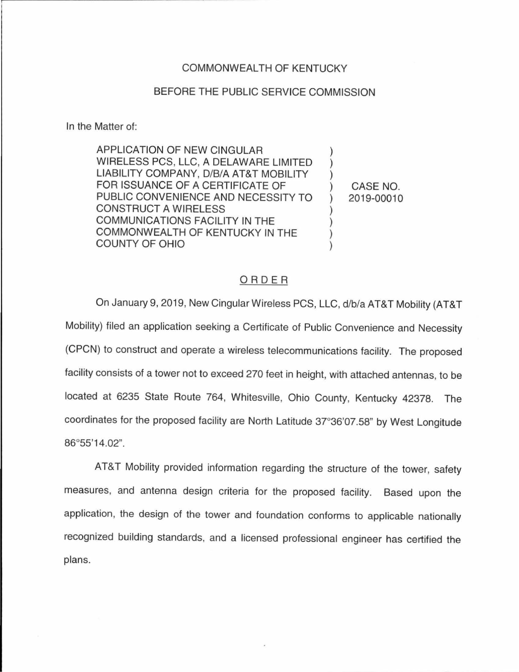## COMMONWEALTH OF KENTUCKY

## BEFORE THE PUBLIC SERVICE COMMISSION

In the Matter of:

APPLICATION OF NEW CINGULAR WIRELESS PCS, LLC, A DELAWARE LIMITED LIABILITY COMPANY, D/B/A AT&T MOBILITY FOR ISSUANCE OF A CERTIFICATE OF PUBLIC CONVENIENCE AND NECESSITY TO CONSTRUCT A WIRELESS COMMUNICATIONS FACILITY IN THE COMMONWEALTH OF KENTUCKY IN THE COUNTY OF OHIO

) CASE NO. ) 2019-00010

) ) )

) ) ) )

## ORDER

On January 9, 2019, New Cingular Wireless PCS, LLC, d/b/a AT&T Mobility (AT&T Mobility) filed an application seeking a Certificate of Public Convenience and Necessity (CPCN) to construct and operate a wireless telecommunications facility. The proposed facility consists of a tower not to exceed 270 feet in height, with attached antennas, to be located at 6235 State Route 764, Whitesville, Ohio County, Kentucky 42378. The coordinates for the proposed facility are North Latitude 37°36'07.58" by West Longitude 86°55'14.02".

AT&T Mobility provided information regarding the structure of the tower, safety measures, and antenna design criteria for the proposed facility. Based upon the application, the design of the tower and foundation conforms to applicable nationally recognized building standards, and a licensed professional engineer has certified the plans.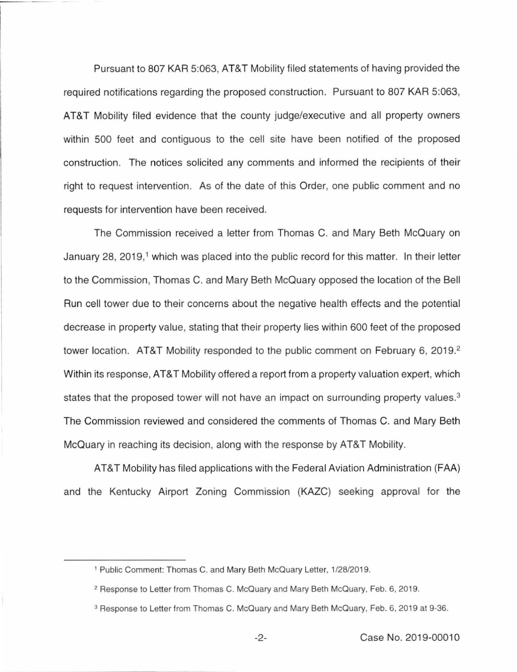Pursuant to 807 KAR 5:063, AT&T Mobility filed statements of having provided the required notifications regarding the proposed construction. Pursuant to 807 KAR 5:063, AT&T Mobility filed evidence that the county judge/executive and all property owners within 500 feet and contiguous to the cell site have been notified of the proposed construction. The notices solicited any comments and informed the recipients of their right to request intervention. As of the date of this Order, one public comment and no requests for intervention have been received.

The Commission received a letter from Thomas C. and Mary Beth McQuary on January 28, 2019,<sup>1</sup> which was placed into the public record for this matter. In their letter to the Commission, Thomas C. and Mary Beth McQuary opposed the location of the Bell Run cell tower due to their concerns about the negative health effects and the potential decrease in property value, stating that their property lies within 600 feet of the proposed tower location. AT&T Mobility responded to the public comment on February 6, 2019. 2 Within its response, AT&T Mobility offered a report from a property valuation expert, which states that the proposed tower will not have an impact on surrounding property values.<sup>3</sup> The Commission reviewed and considered the comments of Thomas C. and Mary Beth McQuary in reaching its decision, along with the response by AT&T Mobility.

AT&T Mobility has filed applications with the Federal Aviation Administration (FAA) and the Kentucky Airport Zoning Commission (KAZC) seeking approval for the

<sup>&</sup>lt;sup>1</sup> Public Comment: Thomas C. and Mary Beth McQuary Letter, 1/28/2019.

<sup>&</sup>lt;sup>2</sup> Response to Letter from Thomas C. McQuary and Mary Beth McQuary, Feb. 6, 2019.

<sup>3</sup> Response to Letter from Thomas C. McQuary and Mary Beth McQuary, Feb. 6, 2019 at 9-36.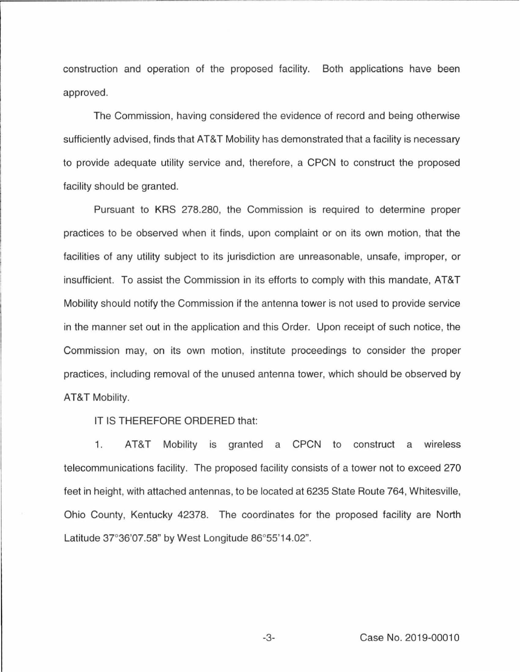construction and operation of the proposed facility. Both applications have been approved.

The Commission, having considered the evidence of record and being otherwise sufficiently advised, finds that AT&T Mobility has demonstrated that a facility is necessary to provide adequate utility service and, therefore, a CPCN to construct the proposed facility should be granted.

Pursuant to KRS 278.280, the Commission is required to determine proper practices to be observed when it finds, upon complaint or on its own motion, that the facilities of any utility subject to its jurisdiction are unreasonable, unsafe, improper, or insufficient. To assist the Commission in its efforts to comply with this mandate, AT&T Mobility should notify the Commission if the antenna tower is not used to provide service in the manner set out in the application and this Order. Upon receipt of such notice, the Commission may, on its own motion, institute proceedings to consider the proper practices, including removal of the unused antenna tower, which should be observed by AT&T Mobility.

IT IS THEREFORE ORDERED that:

1. AT&T Mobility is granted a CPCN to construct a wireless telecommunications facility. The proposed facility consists of a tower not to exceed 270 feet in height, with attached antennas, to be located at 6235 State Route 764, Whitesville, Ohio County, Kentucky 42378. The coordinates for the proposed facility are North Latitude 37°36'07.58" by West Longitude 86°55'14.02".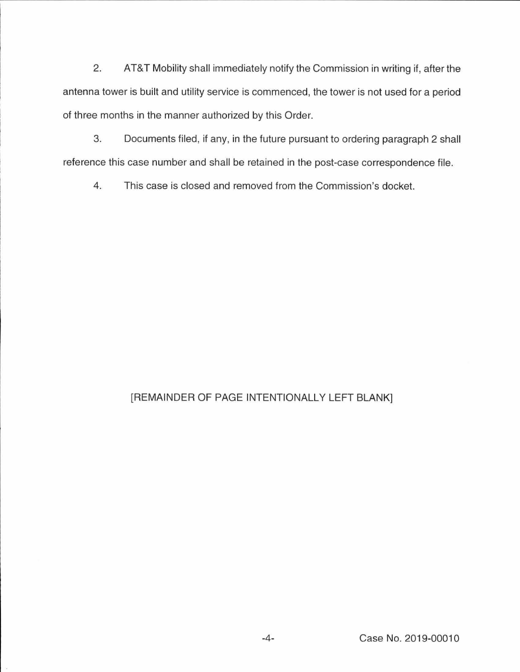2. AT&T Mobility shall immediately notify the Commission in writing if, after the antenna tower is built and utility service is commenced, the tower is not used for a period of three months in the manner authorized by this Order.

3. Documents filed, if any, in the future pursuant to ordering paragraph 2 shall reference this case number and shall be retained in the post-case correspondence file.

4. This case is closed and removed from the Commission's docket.

## [REMAINDER OF PAGE INTENTIONALLY LEFT BLANK]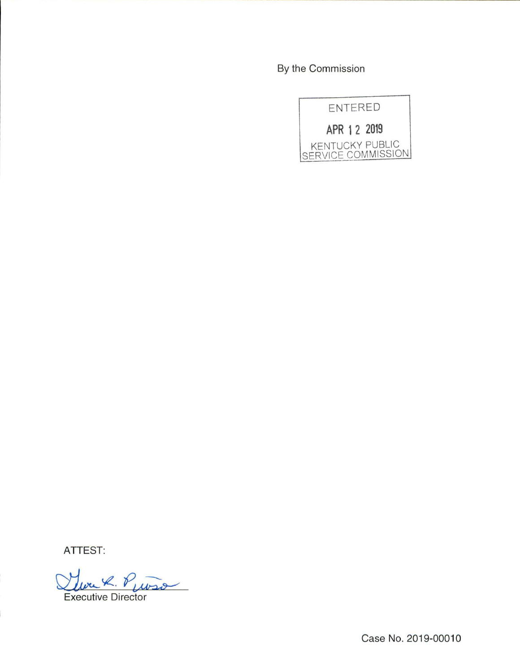By the Commission



ATTEST:

Lure R. Puiso

Case No. 2019-00010